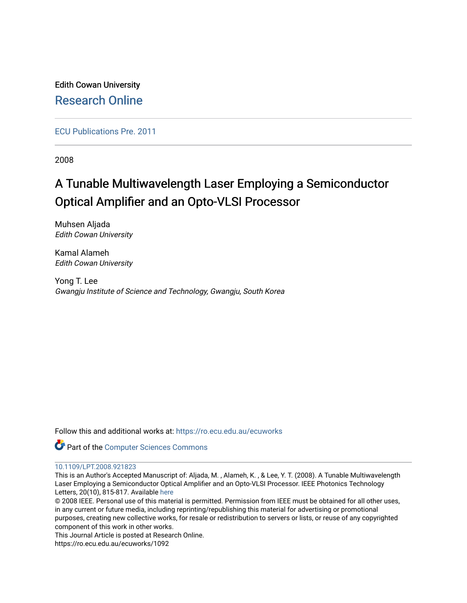Edith Cowan University [Research Online](https://ro.ecu.edu.au/) 

[ECU Publications Pre. 2011](https://ro.ecu.edu.au/ecuworks)

2008

# A Tunable Multiwavelength Laser Employing a Semiconductor Optical Amplifier and an Opto-VLSI Processor

Muhsen Aljada Edith Cowan University

Kamal Alameh Edith Cowan University

Yong T. Lee Gwangju Institute of Science and Technology, Gwangju, South Korea

Follow this and additional works at: [https://ro.ecu.edu.au/ecuworks](https://ro.ecu.edu.au/ecuworks?utm_source=ro.ecu.edu.au%2Fecuworks%2F1092&utm_medium=PDF&utm_campaign=PDFCoverPages) 



## [10.1109/LPT.2008.921823](http://dx.doi.org/10.1109/LPT.2008.921823)

This is an Author's Accepted Manuscript of: Aljada, M. , Alameh, K. , & Lee, Y. T. (2008). A Tunable Multiwavelength Laser Employing a Semiconductor Optical Amplifier and an Opto-VLSI Processor. IEEE Photonics Technology Letters, 20(10), 815-817. Available [here](http://dx.doi.org/10.1109/LPT.2008.921823) 

© 2008 IEEE. Personal use of this material is permitted. Permission from IEEE must be obtained for all other uses, in any current or future media, including reprinting/republishing this material for advertising or promotional purposes, creating new collective works, for resale or redistribution to servers or lists, or reuse of any copyrighted component of this work in other works.

This Journal Article is posted at Research Online.

https://ro.ecu.edu.au/ecuworks/1092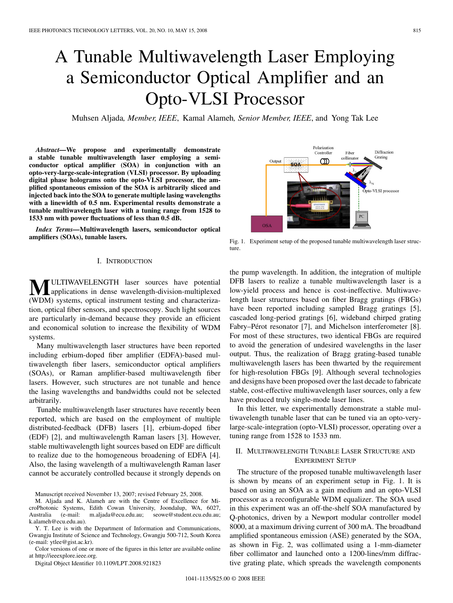# A Tunable Multiwavelength Laser Employing a Semiconductor Optical Amplifier and an Opto-VLSI Processor

Muhsen Aljada*, Member, IEEE*, Kamal Alameh*, Senior Member, IEEE*, and Yong Tak Lee

*Abstract—***We propose and experimentally demonstrate a stable tunable multiwavelength laser employing a semiconductor optical amplifier (SOA) in conjunction with an opto-very-large-scale-integration (VLSI) processor. By uploading digital phase holograms onto the opto-VLSI processor, the amplified spontaneous emission of the SOA is arbitrarily sliced and injected back into the SOA to generate multiple lasing wavelengths with a linewidth of 0.5 nm. Experimental results demonstrate a tunable multiwavelength laser with a tuning range from 1528 to 1533 nm with power fluctuations of less than 0.5 dB.**

*Index Terms—***Multiwavelength lasers, semiconductor optical amplifiers (SOAs), tunable lasers.**

#### I. INTRODUCTION

**MULTIWAVELENGTH** laser sources have potential applications in dense wavelength-division-multiplexed (WDM) systems, optical instrument testing and characterization, optical fiber sensors, and spectroscopy. Such light sources are particularly in-demand because they provide an efficient and economical solution to increase the flexibility of WDM systems.

Many multiwavelength laser structures have been reported including erbium-doped fiber amplifier (EDFA)-based multiwavelength fiber lasers, semiconductor optical amplifiers (SOAs), or Raman amplifier-based multiwavelength fiber lasers. However, such structures are not tunable and hence the lasing wavelengths and bandwidths could not be selected arbitrarily.

Tunable multiwavelength laser structures have recently been reported, which are based on the employment of multiple distributed-feedback (DFB) lasers [1], erbium-doped fiber (EDF) [2], and multiwavelength Raman lasers [3]. However, stable multiwavelength light sources based on EDF are difficult to realize due to the homogeneous broadening of EDFA [4]. Also, the lasing wavelength of a multiwavelength Raman laser cannot be accurately controlled because it strongly depends on

Manuscript received November 13, 2007; revised February 25, 2008.

M. Aljada and K. Alameh are with the Centre of Excellence for MicroPhotonic Systems, Edith Cowan University, Joondalup, WA, 6027, Australia (e-mail: m.aljada@ecu.edu.au; seowe@student.ecu.edu.au; k.alameh@ecu.edu.au).

Y. T. Lee is with the Department of Information and Communications, Gwangju Institute of Science and Technology, Gwangju 500-712, South Korea (e-mail: ytlee@gist.ac.kr).

Color versions of one or more of the figures in this letter are available online at http://ieeexplore.ieee.org.

Digital Object Identifier 10.1109/LPT.2008.921823



Fig. 1. Experiment setup of the proposed tunable multiwavelength laser structure.

the pump wavelength. In addition, the integration of multiple DFB lasers to realize a tunable multiwavelength laser is a low-yield process and hence is cost-ineffective. Multiwavelength laser structures based on fiber Bragg gratings (FBGs) have been reported including sampled Bragg gratings [5], cascaded long-period gratings [6], wideband chirped grating Fabry–Pérot resonator [7], and Michelson interferometer [8]. For most of these structures, two identical FBGs are required to avoid the generation of undesired wavelengths in the laser output. Thus, the realization of Bragg grating-based tunable multiwavelength lasers has been thwarted by the requirement for high-resolution FBGs [9]. Although several technologies and designs have been proposed over the last decade to fabricate stable, cost-effective multiwavelength laser sources, only a few have produced truly single-mode laser lines.

In this letter, we experimentally demonstrate a stable multiwavelength tunable laser that can be tuned via an opto-verylarge-scale-integration (opto-VLSI) processor, operating over a tuning range from 1528 to 1533 nm.

### II. MULTIWAVELENGTH TUNABLE LASER STRUCTURE AND EXPERIMENT SETUP

The structure of the proposed tunable multiwavelength laser is shown by means of an experiment setup in Fig. 1. It is based on using an SOA as a gain medium and an opto-VLSI processor as a reconfigurable WDM equalizer. The SOA used in this experiment was an off-the-shelf SOA manufactured by Q-photonics, driven by a Newport modular controller model 8000, at a maximum driving current of 300 mA. The broadband amplified spontaneous emission (ASE) generated by the SOA, as shown in Fig. 2, was collimated using a 1-mm-diameter fiber collimator and launched onto a 1200-lines/mm diffractive grating plate, which spreads the wavelength components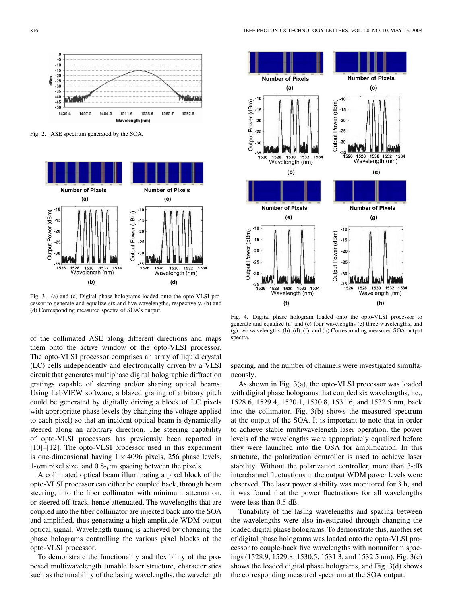

Fig. 2. ASE spectrum generated by the SOA.



Fig. 3. (a) and (c) Digital phase holograms loaded onto the opto-VLSI processor to generate and equalize six and five wavelengths, respectively. (b) and (d) Corresponding measured spectra of SOA's output.

of the collimated ASE along different directions and maps them onto the active window of the opto-VLSI processor. The opto-VLSI processor comprises an array of liquid crystal (LC) cells independently and electronically driven by a VLSI circuit that generates multiphase digital holographic diffraction gratings capable of steering and/or shaping optical beams. Using LabVIEW software, a blazed grating of arbitrary pitch could be generated by digitally driving a block of LC pixels with appropriate phase levels (by changing the voltage applied to each pixel) so that an incident optical beam is dynamically steered along an arbitrary direction. The steering capability of opto-VLSI processors has previously been reported in [10]–[12]. The opto-VLSI processor used in this experiment is one-dimensional having  $1 \times 4096$  pixels, 256 phase levels, 1- $\mu$ m pixel size, and 0.8- $\mu$ m spacing between the pixels.

A collimated optical beam illuminating a pixel block of the opto-VLSI processor can either be coupled back, through beam steering, into the fiber collimator with minimum attenuation, or steered off-track, hence attenuated. The wavelengths that are coupled into the fiber collimator are injected back into the SOA and amplified, thus generating a high amplitude WDM output optical signal. Wavelength tuning is achieved by changing the phase holograms controlling the various pixel blocks of the opto-VLSI processor.

To demonstrate the functionality and flexibility of the proposed multiwavelength tunable laser structure, characteristics such as the tunability of the lasing wavelengths, the wavelength



Fig. 4. Digital phase hologram loaded onto the opto-VLSI processor to generate and equalize (a) and (c) four wavelengths (e) three wavelengths, and (g) two wavelengths. (b), (d), (f), and (h) Corresponding measured SOA output spectra.

spacing, and the number of channels were investigated simultaneously.

As shown in Fig. 3(a), the opto-VLSI processor was loaded with digital phase holograms that coupled six wavelengths, i.e., 1528.6, 1529.4, 1530.1, 1530.8, 1531.6, and 1532.5 nm, back into the collimator. Fig. 3(b) shows the measured spectrum at the output of the SOA. It is important to note that in order to achieve stable multiwavelength laser operation, the power levels of the wavelengths were appropriately equalized before they were launched into the OSA for amplification. In this structure, the polarization controller is used to achieve laser stability. Without the polarization controller, more than 3-dB interchannel fluctuations in the output WDM power levels were observed. The laser power stability was monitored for 3 h, and it was found that the power fluctuations for all wavelengths were less than 0.5 dB.

Tunability of the lasing wavelengths and spacing between the wavelengths were also investigated through changing the loaded digital phase holograms. To demonstrate this, another set of digital phase holograms was loaded onto the opto-VLSI processor to couple-back five wavelengths with nonuniform spacings (1528.9, 1529.8, 1530.5, 1531.3, and 1532.5 nm). Fig. 3(c) shows the loaded digital phase holograms, and Fig. 3(d) shows the corresponding measured spectrum at the SOA output.